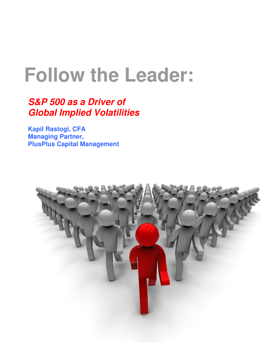# **Follow the Leader:**

# **S&P 500 as a Driver of Global Implied Volatilities**

**Kapil Rastogi, CFA Managing Partner, PlusPlus Capital Management**

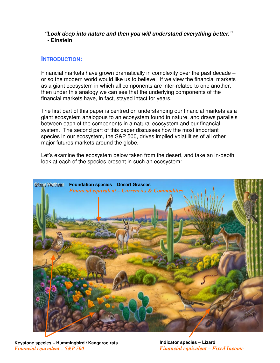## **"Look deep into nature and then you will understand everything better." - Einstein**

# **INTRODUCTION:**

Financial markets have grown dramatically in complexity over the past decade – or so the modern world would like us to believe. If we view the financial markets as a giant ecosystem in which all components are inter-related to one another, then under this analogy we can see that the underlying components of the financial markets have, in fact, stayed intact for years.

The first part of this paper is centred on understanding our financial markets as a giant ecosystem analogous to an ecosystem found in nature, and draws parallels between each of the components in a natural ecosystem and our financial system. The second part of this paper discusses how the most important species in our ecosystem, the S&P 500, drives implied volatilities of all other major futures markets around the globe.

Let's examine the ecosystem below taken from the desert, and take an in-depth look at each of the species present in such an ecosystem:



**Keystone species – Hummingbird / Kangaroo rats** *Financial equivalent – S&P 500* 

**Indicator species – Lizard** *Financial equivalent – Fixed Income*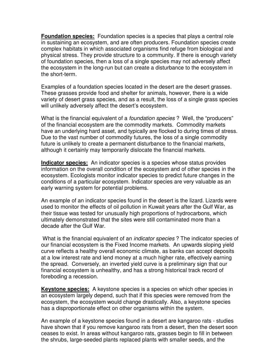**Foundation species:** Foundation species is a species that plays a central role in sustaining an ecosystem, and are often producers. Foundation species create complex habitats in which associated organisms find refuge from biological and physical stress. They provide structure to a community. If there is enough variety of foundation species, then a loss of a single species may not adversely affect the ecosystem in the long-run but can create a disturbance to the ecosystem in the short-term.

Examples of a foundation species located in the desert are the desert grasses. These grasses provide food and shelter for animals, however, there is a wide variety of desert grass species, and as a result, the loss of a single grass species will unlikely adversely affect the desert's ecosystem.

What is the financial equivalent of a *foundation species* ? Well, the "producers" of the financial ecosystem are the commodity markets. Commodity markets have an underlying hard asset, and typically are flocked to during times of stress. Due to the vast number of commodity futures, the loss of a single commodity future is unlikely to create a permanent disturbance to the financial markets, although it certainly may temporarily dislocate the financial markets.

**Indicator species:** An indicator species is a species whose status provides information on the overall condition of the ecosystem and of other species in the ecosystem. Ecologists monitor indicator species to predict future changes in the conditions of a particular ecosystem. Indicator species are very valuable as an early warning system for potential problems.

An example of an indicator species found in the desert is the lizard. Lizards were used to monitor the effects of oil pollution in Kuwait years after the Gulf War, as their tissue was tested for unusually high proportions of hydrocarbons, which ultimately demonstrated that the sites were still contaminated more than a decade after the Gulf War.

What is the financial equivalent of an *indicator species* ? The indicator species of our financial ecosystem is the Fixed Income markets. An upwards sloping yield curve reflects a healthy overall economic climate, as banks can accept deposits at a low interest rate and lend money at a much higher rate, effectively earning the spread. Conversely, an inverted yield curve is a preliminary sign that our financial ecosystem is unhealthy, and has a strong historical track record of foreboding a recession.

**Keystone species:** A keystone species is a species on which other species in an ecosystem largely depend, such that if this species were removed from the ecosystem, the ecosystem would change drastically. Also, a keystone species has a disproportionate effect on other organisms within the system.

An example of a keystone species found in a desert are kangaroo rats - studies have shown that if you remove kangaroo rats from a desert, then the desert soon ceases to exist. In areas without kangaroo rats, grasses begin to fill in between the shrubs, large-seeded plants replaced plants with smaller seeds, and the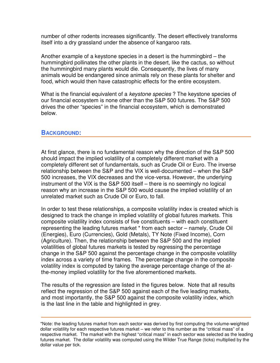number of other rodents increases significantly. The desert effectively transforms itself into a dry grassland under the absence of kangaroo rats.

Another example of a keystone species in a desert is the hummingbird – the hummingbird pollinates the other plants in the desert, like the cactus, so without the hummingbird many plants would die. Consequently, the lives of many animals would be endangered since animals rely on these plants for shelter and food, which would then have catastrophic effects for the entire ecosystem.

What is the financial equivalent of a *keystone species*? The keystone species of our financial ecosystem is none other than the S&P 500 futures. The S&P 500 drives the other "species" in the financial ecosystem, which is demonstrated below.

#### **BACKGROUND:**

At first glance, there is no fundamental reason why the direction of the S&P 500 should impact the implied volatility of a completely different market with a completely different set of fundamentals, such as Crude Oil or Euro. The inverse relationship between the S&P and the VIX is well-documented – when the S&P 500 increases, the VIX decreases and the vice-versa. However, the underlying instrument of the VIX is the S&P 500 itself – there is no seemingly no logical reason why an increase in the S&P 500 would cause the implied volatility of an unrelated market such as Crude Oil or Euro, to fall.

In order to test these relationships, a composite volatility index is created which is designed to track the change in implied volatility of global futures markets. This composite volatility index consists of five constituents – with each constituent representing the leading futures market \* from each sector – namely, Crude Oil (Energies), Euro (Currencies), Gold (Metals), TY Note (Fixed Income), Corn (Agriculture). Then, the relationship between the S&P 500 and the implied volatilities of global futures markets is tested by regressing the percentage change in the S&P 500 against the percentage change in the composite volatility index across a variety of time frames. The percentage change in the composite volatility index is computed by taking the average percentage change of the atthe-money implied volatility for the five aforementioned markets.

The results of the regression are listed in the figures below. Note that all results reflect the regression of the S&P 500 against each of the five leading markets, and most importantly, the S&P 500 against the composite volatility index, which is the last line in the table and highlighted in grey.

<sup>\*</sup>Note: the leading futures market from each sector was derived by first computing the volume-weighted dollar volatility for each respective futures market – we refer to this number as the "critical mass" of a respective market. The market with the highest "critical mass" in each sector was selected as the leading futures market. The dollar volatility was computed using the Wilder True Range (ticks) multiplied by the dollar value per tick.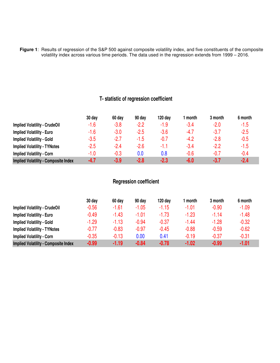**Figure 1**: Results of regression of the S&P 500 against composite volatility index, and five constituents of the composite volatility index across various time periods. The data used in the regression extends from 1999 – 2016.

# **T- statistic of regression coefficient**

|                                             | 30 day | 60 day | 90 day | $120$ day | l month | 3 month | 6 month |
|---------------------------------------------|--------|--------|--------|-----------|---------|---------|---------|
| <b>Implied Volatility - CrudeOil</b>        | $-1.6$ | $-3.8$ | -2.2   | $-1.9$    | -3.4    | $-2.0$  | $-1.5$  |
| <b>Implied Volatility - Euro</b>            | $-1.6$ | $-3.0$ | -2.5   | $-3.6$    | -4.7    | $-3.7$  | $-2.5$  |
| <b>Implied Volatility - Gold</b>            | $-3.5$ | $-2.7$ | -1.5   | $-0.7$    | $-4.2$  | $-2.8$  | $-0.5$  |
| <b>Implied Volatility - TYNotes</b>         | $-2.5$ | $-2.4$ | -2.6   | -1.1      | -3.4    | $-2.2$  | $-1.5$  |
| <b>Implied Volatility - Corn</b>            | $-1.0$ | -0.3   | 0.0    | 0.8       | $-0.6$  | $-0.7$  | $-0.4$  |
| <b>Implied Volatility - Composite Index</b> | $-4.7$ | $-3.9$ | $-2.8$ | $-2.3$    | $-6.0$  | $-3.7$  | $-2.4$  |

# **Regression coefficient**

|                                             | 30 day  | 60 day  | 90 day  | 120 day | month   | 3 month | 6 month |
|---------------------------------------------|---------|---------|---------|---------|---------|---------|---------|
| <b>Implied Volatility - CrudeOil</b>        | $-0.56$ | $-1.61$ | $-1.05$ | $-1.15$ | $-1.01$ | $-0.90$ | $-1.09$ |
| <b>Implied Volatility - Euro</b>            | $-0.49$ | $-1.43$ | $-1.01$ | $-1.73$ | $-1.23$ | $-1.14$ | $-1.48$ |
| <b>Implied Volatility - Gold</b>            | $-1.29$ | $-1.13$ | $-0.94$ | $-0.37$ | $-1.44$ | $-1.28$ | $-0.32$ |
| <b>Implied Volatility - TYNotes</b>         | $-0.77$ | $-0.83$ | $-0.97$ | $-0.45$ | $-0.88$ | $-0.59$ | $-0.62$ |
| <b>Implied Volatility - Corn</b>            | $-0.35$ | $-0.13$ | 0.00    | 0.41    | $-0.19$ | $-0.37$ | $-0.31$ |
| <b>Implied Volatility - Composite Index</b> | $-0.99$ | $-1.19$ | $-0.84$ | $-0.78$ | $-1.02$ | $-0.99$ | $-1.01$ |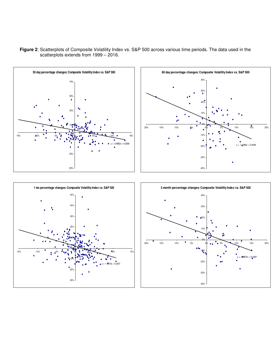

**Figure 2**: Scatterplots of Composite Volatility Index vs. S&P 500 across various time periods. The data used in the scatterplots extends from 1999 – 2016.





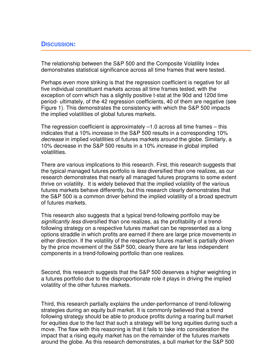## **DISCUSSION:**

The relationship between the S&P 500 and the Composite Volatility Index demonstrates statistical significance across all time frames that were tested.

Perhaps even more striking is that the regression coefficient is negative for all five individual constituent markets across all time frames tested, with the exception of corn which has a slightly positive t-stat at the 90d and 120d time period- ultimately, of the 42 regression coefficients, 40 of them are negative (see Figure 1). This demonstrates the consistency with which the S&P 500 impacts the implied volatilities of global futures markets.

The regression coefficient is approximately –1.0 across all time frames – this indicates that a 10% increase in the S&P 500 results in a corresponding 10% decrease in implied volatilities of futures markets around the globe. Similarly, a 10% decrease in the S&P 500 results in a 10% increase in global implied volatilities.

There are various implications to this research. First, this research suggests that the typical managed futures portfolio is less diversified than one realizes, as our research demonstrates that nearly all managed futures programs to some extent thrive on volatility. It is widely believed that the implied volatility of the various futures markets behave differently, but this research clearly demonstrates that the S&P 500 is a common driver behind the implied volatility of a broad spectrum of futures markets.

This research also suggests that a typical trend-following portfolio may be significantly less diversified than one realizes, as the profitability of a trendfollowing strategy on a respective futures market can be represented as a long options straddle in which profits are earned if there are large price movements in either direction. If the volatility of the respective futures market is partially driven by the price movement of the S&P 500, clearly there are far less independent components in a trend-following portfolio than one realizes.

Second, this research suggests that the S&P 500 deserves a higher weighting in a futures portfolio due to the disproportionate role it plays in driving the implied volatility of the other futures markets.

Third, this research partially explains the under-performance of trend-following strategies during an equity bull market. It is commonly believed that a trend following strategy should be able to produce profits during a roaring bull market for equities due to the fact that such a strategy will be long equities during such a move. The flaw with this reasoning is that it fails to take into consideration the impact that a rising equity market has on the remainder of the futures markets around the globe. As this research demonstrates, a bull market for the S&P 500